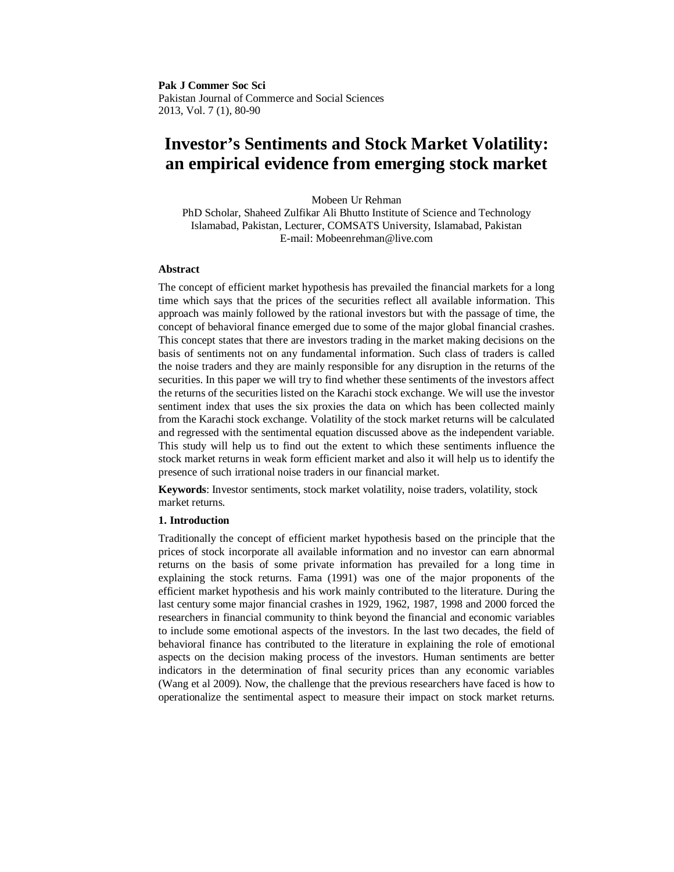**Pak J Commer Soc Sci** Pakistan Journal of Commerce and Social Sciences 2013, Vol. 7 (1), 80-90

# **Investor's Sentiments and Stock Market Volatility: an empirical evidence from emerging stock market**

Mobeen Ur Rehman

PhD Scholar, Shaheed Zulfikar Ali Bhutto Institute of Science and Technology Islamabad, Pakistan, Lecturer, COMSATS University, Islamabad, Pakistan E-mail: Mobeenrehman@live.com

#### **Abstract**

The concept of efficient market hypothesis has prevailed the financial markets for a long time which says that the prices of the securities reflect all available information. This approach was mainly followed by the rational investors but with the passage of time, the concept of behavioral finance emerged due to some of the major global financial crashes. This concept states that there are investors trading in the market making decisions on the basis of sentiments not on any fundamental information. Such class of traders is called the noise traders and they are mainly responsible for any disruption in the returns of the securities. In this paper we will try to find whether these sentiments of the investors affect the returns of the securities listed on the Karachi stock exchange. We will use the investor sentiment index that uses the six proxies the data on which has been collected mainly from the Karachi stock exchange. Volatility of the stock market returns will be calculated and regressed with the sentimental equation discussed above as the independent variable. This study will help us to find out the extent to which these sentiments influence the stock market returns in weak form efficient market and also it will help us to identify the presence of such irrational noise traders in our financial market.

**Keywords**: Investor sentiments, stock market volatility, noise traders, volatility, stock market returns.

# **1. Introduction**

Traditionally the concept of efficient market hypothesis based on the principle that the prices of stock incorporate all available information and no investor can earn abnormal returns on the basis of some private information has prevailed for a long time in explaining the stock returns. Fama (1991) was one of the major proponents of the efficient market hypothesis and his work mainly contributed to the literature. During the last century some major financial crashes in 1929, 1962, 1987, 1998 and 2000 forced the researchers in financial community to think beyond the financial and economic variables to include some emotional aspects of the investors. In the last two decades, the field of behavioral finance has contributed to the literature in explaining the role of emotional aspects on the decision making process of the investors. Human sentiments are better indicators in the determination of final security prices than any economic variables (Wang et al 2009). Now, the challenge that the previous researchers have faced is how to operationalize the sentimental aspect to measure their impact on stock market returns.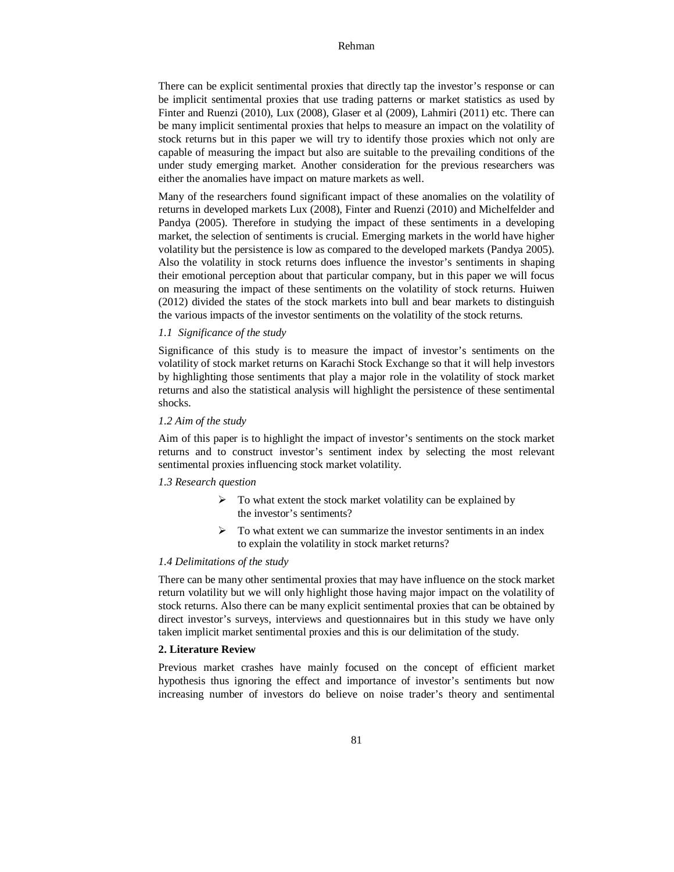There can be explicit sentimental proxies that directly tap the investor's response or can be implicit sentimental proxies that use trading patterns or market statistics as used by Finter and Ruenzi (2010), Lux (2008), Glaser et al (2009), Lahmiri (2011) etc. There can be many implicit sentimental proxies that helps to measure an impact on the volatility of stock returns but in this paper we will try to identify those proxies which not only are capable of measuring the impact but also are suitable to the prevailing conditions of the under study emerging market. Another consideration for the previous researchers was either the anomalies have impact on mature markets as well.

Many of the researchers found significant impact of these anomalies on the volatility of returns in developed markets Lux (2008), Finter and Ruenzi (2010) and Michelfelder and Pandya (2005). Therefore in studying the impact of these sentiments in a developing market, the selection of sentiments is crucial. Emerging markets in the world have higher volatility but the persistence is low as compared to the developed markets (Pandya 2005). Also the volatility in stock returns does influence the investor's sentiments in shaping their emotional perception about that particular company, but in this paper we will focus on measuring the impact of these sentiments on the volatility of stock returns. Huiwen (2012) divided the states of the stock markets into bull and bear markets to distinguish the various impacts of the investor sentiments on the volatility of the stock returns.

## *1.1 Significance of the study*

Significance of this study is to measure the impact of investor's sentiments on the volatility of stock market returns on Karachi Stock Exchange so that it will help investors by highlighting those sentiments that play a major role in the volatility of stock market returns and also the statistical analysis will highlight the persistence of these sentimental shocks.

#### *1.2 Aim of the study*

Aim of this paper is to highlight the impact of investor's sentiments on the stock market returns and to construct investor's sentiment index by selecting the most relevant sentimental proxies influencing stock market volatility.

#### *1.3 Research question*

- $\triangleright$  To what extent the stock market volatility can be explained by the investor's sentiments?
- $\triangleright$  To what extent we can summarize the investor sentiments in an index to explain the volatility in stock market returns?

# *1.4 Delimitations of the study*

There can be many other sentimental proxies that may have influence on the stock market return volatility but we will only highlight those having major impact on the volatility of stock returns. Also there can be many explicit sentimental proxies that can be obtained by direct investor's surveys, interviews and questionnaires but in this study we have only taken implicit market sentimental proxies and this is our delimitation of the study.

# **2. Literature Review**

Previous market crashes have mainly focused on the concept of efficient market hypothesis thus ignoring the effect and importance of investor's sentiments but now increasing number of investors do believe on noise trader's theory and sentimental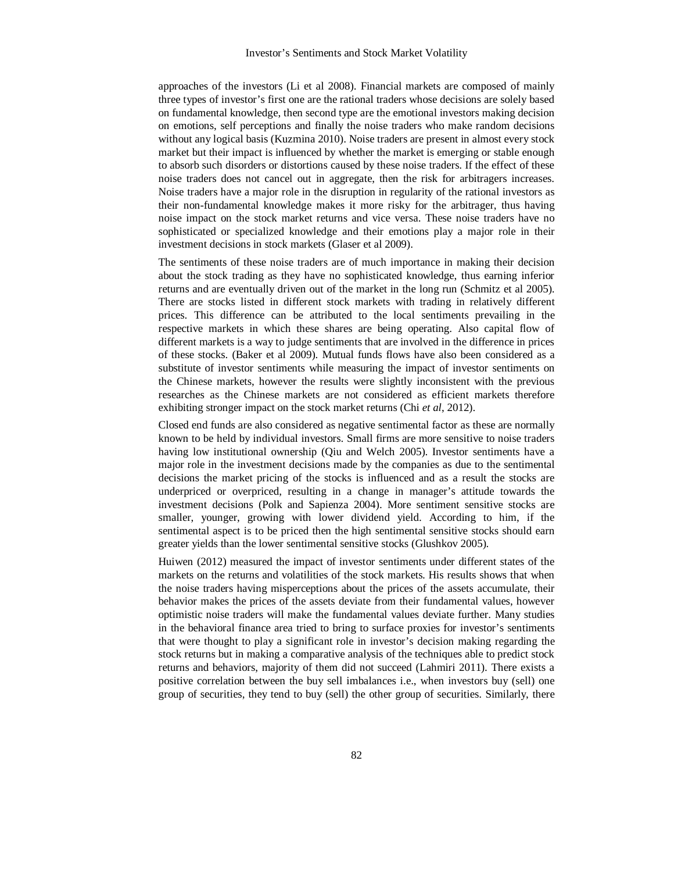approaches of the investors (Li et al 2008). Financial markets are composed of mainly three types of investor's first one are the rational traders whose decisions are solely based on fundamental knowledge, then second type are the emotional investors making decision on emotions, self perceptions and finally the noise traders who make random decisions without any logical basis (Kuzmina 2010). Noise traders are present in almost every stock market but their impact is influenced by whether the market is emerging or stable enough to absorb such disorders or distortions caused by these noise traders. If the effect of these noise traders does not cancel out in aggregate, then the risk for arbitragers increases. Noise traders have a major role in the disruption in regularity of the rational investors as their non-fundamental knowledge makes it more risky for the arbitrager, thus having noise impact on the stock market returns and vice versa. These noise traders have no sophisticated or specialized knowledge and their emotions play a major role in their investment decisions in stock markets (Glaser et al 2009).

The sentiments of these noise traders are of much importance in making their decision about the stock trading as they have no sophisticated knowledge, thus earning inferior returns and are eventually driven out of the market in the long run (Schmitz et al 2005). There are stocks listed in different stock markets with trading in relatively different prices. This difference can be attributed to the local sentiments prevailing in the respective markets in which these shares are being operating. Also capital flow of different markets is a way to judge sentiments that are involved in the difference in prices of these stocks. (Baker et al 2009). Mutual funds flows have also been considered as a substitute of investor sentiments while measuring the impact of investor sentiments on the Chinese markets, however the results were slightly inconsistent with the previous researches as the Chinese markets are not considered as efficient markets therefore exhibiting stronger impact on the stock market returns (Chi *et al*, 2012).

Closed end funds are also considered as negative sentimental factor as these are normally known to be held by individual investors. Small firms are more sensitive to noise traders having low institutional ownership (Qiu and Welch 2005). Investor sentiments have a major role in the investment decisions made by the companies as due to the sentimental decisions the market pricing of the stocks is influenced and as a result the stocks are underpriced or overpriced, resulting in a change in manager's attitude towards the investment decisions (Polk and Sapienza 2004). More sentiment sensitive stocks are smaller, younger, growing with lower dividend yield. According to him, if the sentimental aspect is to be priced then the high sentimental sensitive stocks should earn greater yields than the lower sentimental sensitive stocks (Glushkov 2005).

Huiwen (2012) measured the impact of investor sentiments under different states of the markets on the returns and volatilities of the stock markets. His results shows that when the noise traders having misperceptions about the prices of the assets accumulate, their behavior makes the prices of the assets deviate from their fundamental values, however optimistic noise traders will make the fundamental values deviate further. Many studies in the behavioral finance area tried to bring to surface proxies for investor's sentiments that were thought to play a significant role in investor's decision making regarding the stock returns but in making a comparative analysis of the techniques able to predict stock returns and behaviors, majority of them did not succeed (Lahmiri 2011). There exists a positive correlation between the buy sell imbalances i.e., when investors buy (sell) one group of securities, they tend to buy (sell) the other group of securities. Similarly, there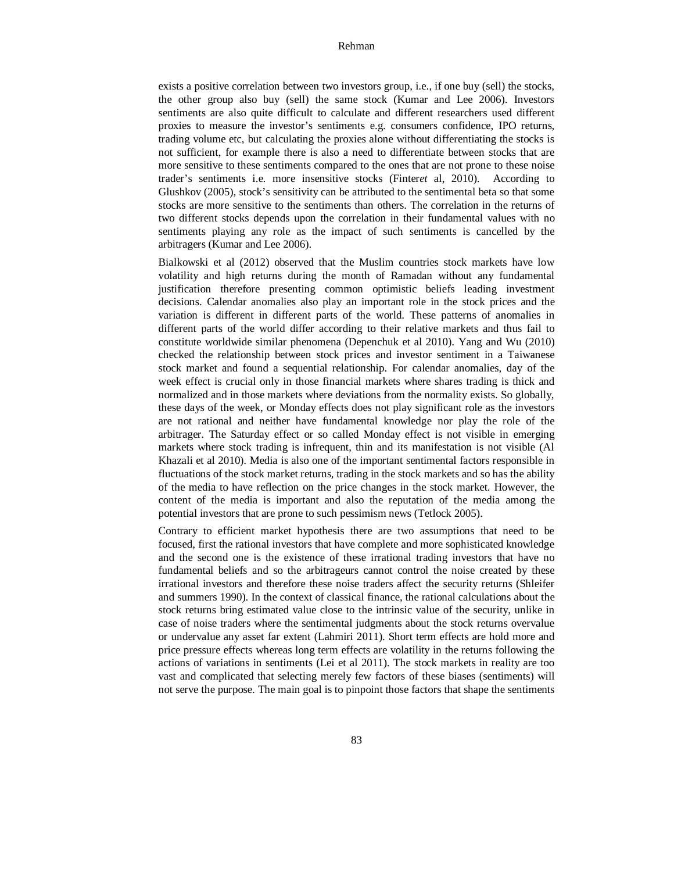exists a positive correlation between two investors group, i.e., if one buy (sell) the stocks, the other group also buy (sell) the same stock (Kumar and Lee 2006). Investors sentiments are also quite difficult to calculate and different researchers used different proxies to measure the investor's sentiments e.g. consumers confidence, IPO returns, trading volume etc, but calculating the proxies alone without differentiating the stocks is not sufficient, for example there is also a need to differentiate between stocks that are more sensitive to these sentiments compared to the ones that are not prone to these noise trader's sentiments i.e. more insensitive stocks (Finter*et* al, 2010). According to Glushkov (2005), stock's sensitivity can be attributed to the sentimental beta so that some stocks are more sensitive to the sentiments than others. The correlation in the returns of two different stocks depends upon the correlation in their fundamental values with no sentiments playing any role as the impact of such sentiments is cancelled by the arbitragers (Kumar and Lee 2006).

Bialkowski et al (2012) observed that the Muslim countries stock markets have low volatility and high returns during the month of Ramadan without any fundamental justification therefore presenting common optimistic beliefs leading investment decisions. Calendar anomalies also play an important role in the stock prices and the variation is different in different parts of the world. These patterns of anomalies in different parts of the world differ according to their relative markets and thus fail to constitute worldwide similar phenomena (Depenchuk et al 2010). Yang and Wu (2010) checked the relationship between stock prices and investor sentiment in a Taiwanese stock market and found a sequential relationship. For calendar anomalies, day of the week effect is crucial only in those financial markets where shares trading is thick and normalized and in those markets where deviations from the normality exists. So globally, these days of the week, or Monday effects does not play significant role as the investors are not rational and neither have fundamental knowledge nor play the role of the arbitrager. The Saturday effect or so called Monday effect is not visible in emerging markets where stock trading is infrequent, thin and its manifestation is not visible (Al Khazali et al 2010). Media is also one of the important sentimental factors responsible in fluctuations of the stock market returns, trading in the stock markets and so has the ability of the media to have reflection on the price changes in the stock market. However, the content of the media is important and also the reputation of the media among the potential investors that are prone to such pessimism news (Tetlock 2005).

Contrary to efficient market hypothesis there are two assumptions that need to be focused, first the rational investors that have complete and more sophisticated knowledge and the second one is the existence of these irrational trading investors that have no fundamental beliefs and so the arbitrageurs cannot control the noise created by these irrational investors and therefore these noise traders affect the security returns (Shleifer and summers 1990). In the context of classical finance, the rational calculations about the stock returns bring estimated value close to the intrinsic value of the security, unlike in case of noise traders where the sentimental judgments about the stock returns overvalue or undervalue any asset far extent (Lahmiri 2011). Short term effects are hold more and price pressure effects whereas long term effects are volatility in the returns following the actions of variations in sentiments (Lei et al 2011). The stock markets in reality are too vast and complicated that selecting merely few factors of these biases (sentiments) will not serve the purpose. The main goal is to pinpoint those factors that shape the sentiments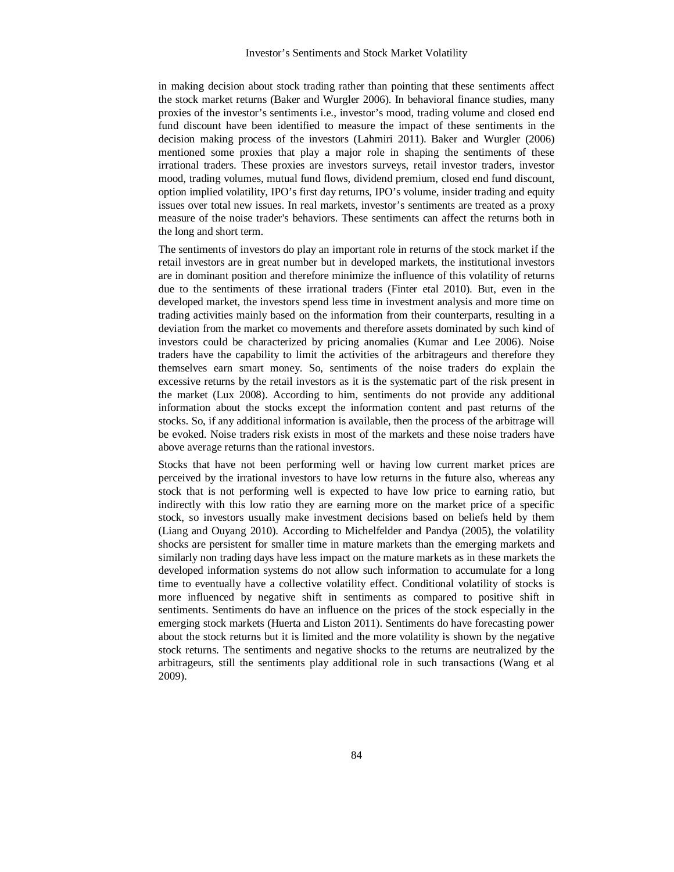in making decision about stock trading rather than pointing that these sentiments affect the stock market returns (Baker and Wurgler 2006). In behavioral finance studies, many proxies of the investor's sentiments i.e., investor's mood, trading volume and closed end fund discount have been identified to measure the impact of these sentiments in the decision making process of the investors (Lahmiri 2011). Baker and Wurgler (2006) mentioned some proxies that play a major role in shaping the sentiments of these irrational traders. These proxies are investors surveys, retail investor traders, investor mood, trading volumes, mutual fund flows, dividend premium, closed end fund discount, option implied volatility, IPO's first day returns, IPO's volume, insider trading and equity issues over total new issues. In real markets, investor's sentiments are treated as a proxy measure of the noise trader's behaviors. These sentiments can affect the returns both in the long and short term.

The sentiments of investors do play an important role in returns of the stock market if the retail investors are in great number but in developed markets, the institutional investors are in dominant position and therefore minimize the influence of this volatility of returns due to the sentiments of these irrational traders (Finter etal 2010). But, even in the developed market, the investors spend less time in investment analysis and more time on trading activities mainly based on the information from their counterparts, resulting in a deviation from the market co movements and therefore assets dominated by such kind of investors could be characterized by pricing anomalies (Kumar and Lee 2006). Noise traders have the capability to limit the activities of the arbitrageurs and therefore they themselves earn smart money. So, sentiments of the noise traders do explain the excessive returns by the retail investors as it is the systematic part of the risk present in the market (Lux 2008). According to him, sentiments do not provide any additional information about the stocks except the information content and past returns of the stocks. So, if any additional information is available, then the process of the arbitrage will be evoked. Noise traders risk exists in most of the markets and these noise traders have above average returns than the rational investors.

Stocks that have not been performing well or having low current market prices are perceived by the irrational investors to have low returns in the future also, whereas any stock that is not performing well is expected to have low price to earning ratio, but indirectly with this low ratio they are earning more on the market price of a specific stock, so investors usually make investment decisions based on beliefs held by them (Liang and Ouyang 2010). According to Michelfelder and Pandya (2005), the volatility shocks are persistent for smaller time in mature markets than the emerging markets and similarly non trading days have less impact on the mature markets as in these markets the developed information systems do not allow such information to accumulate for a long time to eventually have a collective volatility effect. Conditional volatility of stocks is more influenced by negative shift in sentiments as compared to positive shift in sentiments. Sentiments do have an influence on the prices of the stock especially in the emerging stock markets (Huerta and Liston 2011). Sentiments do have forecasting power about the stock returns but it is limited and the more volatility is shown by the negative stock returns. The sentiments and negative shocks to the returns are neutralized by the arbitrageurs, still the sentiments play additional role in such transactions (Wang et al 2009).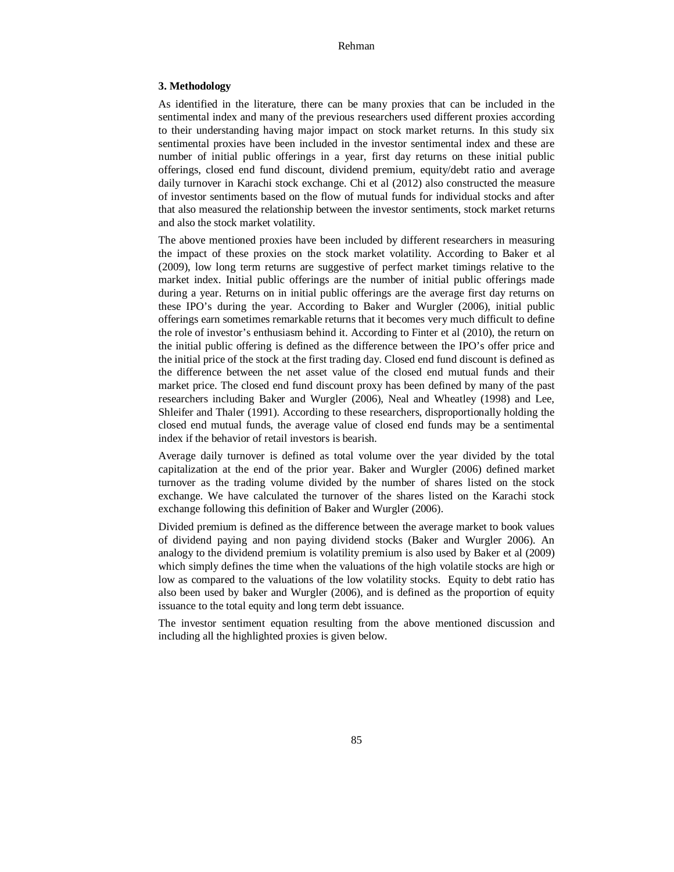## **3. Methodology**

As identified in the literature, there can be many proxies that can be included in the sentimental index and many of the previous researchers used different proxies according to their understanding having major impact on stock market returns. In this study six sentimental proxies have been included in the investor sentimental index and these are number of initial public offerings in a year, first day returns on these initial public offerings, closed end fund discount, dividend premium, equity/debt ratio and average daily turnover in Karachi stock exchange. Chi et al (2012) also constructed the measure of investor sentiments based on the flow of mutual funds for individual stocks and after that also measured the relationship between the investor sentiments, stock market returns and also the stock market volatility.

The above mentioned proxies have been included by different researchers in measuring the impact of these proxies on the stock market volatility. According to Baker et al (2009), low long term returns are suggestive of perfect market timings relative to the market index. Initial public offerings are the number of initial public offerings made during a year. Returns on in initial public offerings are the average first day returns on these IPO's during the year. According to Baker and Wurgler (2006), initial public offerings earn sometimes remarkable returns that it becomes very much difficult to define the role of investor's enthusiasm behind it. According to Finter et al (2010), the return on the initial public offering is defined as the difference between the IPO's offer price and the initial price of the stock at the first trading day. Closed end fund discount is defined as the difference between the net asset value of the closed end mutual funds and their market price. The closed end fund discount proxy has been defined by many of the past researchers including Baker and Wurgler (2006), Neal and Wheatley (1998) and Lee, Shleifer and Thaler (1991). According to these researchers, disproportionally holding the closed end mutual funds, the average value of closed end funds may be a sentimental index if the behavior of retail investors is bearish.

Average daily turnover is defined as total volume over the year divided by the total capitalization at the end of the prior year. Baker and Wurgler (2006) defined market turnover as the trading volume divided by the number of shares listed on the stock exchange. We have calculated the turnover of the shares listed on the Karachi stock exchange following this definition of Baker and Wurgler (2006).

Divided premium is defined as the difference between the average market to book values of dividend paying and non paying dividend stocks (Baker and Wurgler 2006). An analogy to the dividend premium is volatility premium is also used by Baker et al (2009) which simply defines the time when the valuations of the high volatile stocks are high or low as compared to the valuations of the low volatility stocks. Equity to debt ratio has also been used by baker and Wurgler (2006), and is defined as the proportion of equity issuance to the total equity and long term debt issuance.

The investor sentiment equation resulting from the above mentioned discussion and including all the highlighted proxies is given below.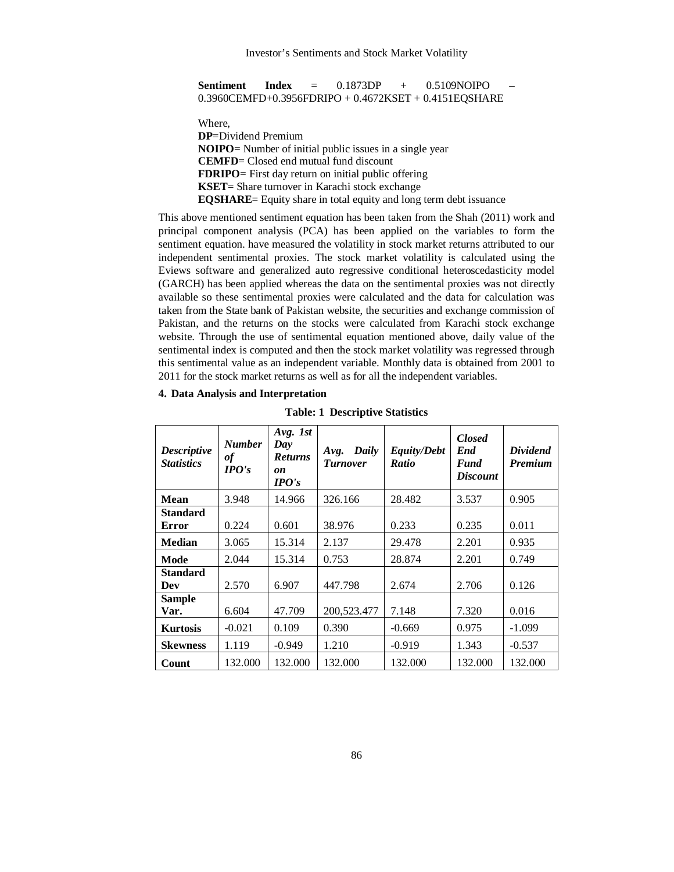| <b>Sentiment</b> | Index | $=$ | 0.1873DP | 0.5109NOIPO                                              |  |
|------------------|-------|-----|----------|----------------------------------------------------------|--|
|                  |       |     |          | $0.3960$ CEMFD+0.3956FDRIPO + 0.4672KSET + 0.4151EQSHARE |  |

Where, **DP**=Dividend Premium **NOIPO**= Number of initial public issues in a single year **CEMFD**= Closed end mutual fund discount **FDRIPO**= First day return on initial public offering **KSET**= Share turnover in Karachi stock exchange **EQSHARE**= Equity share in total equity and long term debt issuance

This above mentioned sentiment equation has been taken from the Shah (2011) work and principal component analysis (PCA) has been applied on the variables to form the sentiment equation. have measured the volatility in stock market returns attributed to our independent sentimental proxies. The stock market volatility is calculated using the Eviews software and generalized auto regressive conditional heteroscedasticity model (GARCH) has been applied whereas the data on the sentimental proxies was not directly available so these sentimental proxies were calculated and the data for calculation was taken from the State bank of Pakistan website, the securities and exchange commission of Pakistan, and the returns on the stocks were calculated from Karachi stock exchange website. Through the use of sentimental equation mentioned above, daily value of the sentimental index is computed and then the stock market volatility was regressed through this sentimental value as an independent variable. Monthly data is obtained from 2001 to 2011 for the stock market returns as well as for all the independent variables.

| <b>Descriptive</b><br><b>Statistics</b> | <b>Number</b><br>$\it{of}$<br>$\bm{I} \bm{P} \bm{O} \bm{\prime} \bm{s}$ | Avg. 1st<br>Day<br><b>Returns</b><br>on<br>$\bm{I} \bm{P} \bm{O} \bm{\prime} \bm{s}$ | Daily<br>Avg.<br><b>Turnover</b> | <b>Equity/Debt</b><br><b>Ratio</b> | <b>Closed</b><br>End<br><b>Fund</b><br><b>Discount</b> | <b>Dividend</b><br><b>Premium</b> |
|-----------------------------------------|-------------------------------------------------------------------------|--------------------------------------------------------------------------------------|----------------------------------|------------------------------------|--------------------------------------------------------|-----------------------------------|
| Mean                                    | 3.948                                                                   | 14.966                                                                               | 326.166                          | 28.482                             | 3.537                                                  | 0.905                             |
| <b>Standard</b><br><b>Error</b>         | 0.224                                                                   | 0.601                                                                                | 38.976                           | 0.233                              | 0.235                                                  | 0.011                             |
| <b>Median</b>                           | 3.065                                                                   | 15.314                                                                               | 2.137                            | 29.478                             | 2.201                                                  | 0.935                             |
| Mode                                    | 2.044                                                                   | 15.314                                                                               | 0.753                            | 28.874                             | 2.201                                                  | 0.749                             |
| <b>Standard</b><br>Dev                  | 2.570                                                                   | 6.907                                                                                | 447.798                          | 2.674                              | 2.706                                                  | 0.126                             |
| <b>Sample</b><br>Var.                   | 6.604                                                                   | 47.709                                                                               | 200,523.477                      | 7.148                              | 7.320                                                  | 0.016                             |
| <b>Kurtosis</b>                         | $-0.021$                                                                | 0.109                                                                                | 0.390                            | $-0.669$                           | 0.975                                                  | $-1.099$                          |
| <b>Skewness</b>                         | 1.119                                                                   | $-0.949$                                                                             | 1.210                            | $-0.919$                           | 1.343                                                  | $-0.537$                          |
| Count                                   | 132.000                                                                 | 132.000                                                                              | 132.000                          | 132.000                            | 132.000                                                | 132.000                           |

## **4. Data Analysis and Interpretation**

**Table: 1 Descriptive Statistics**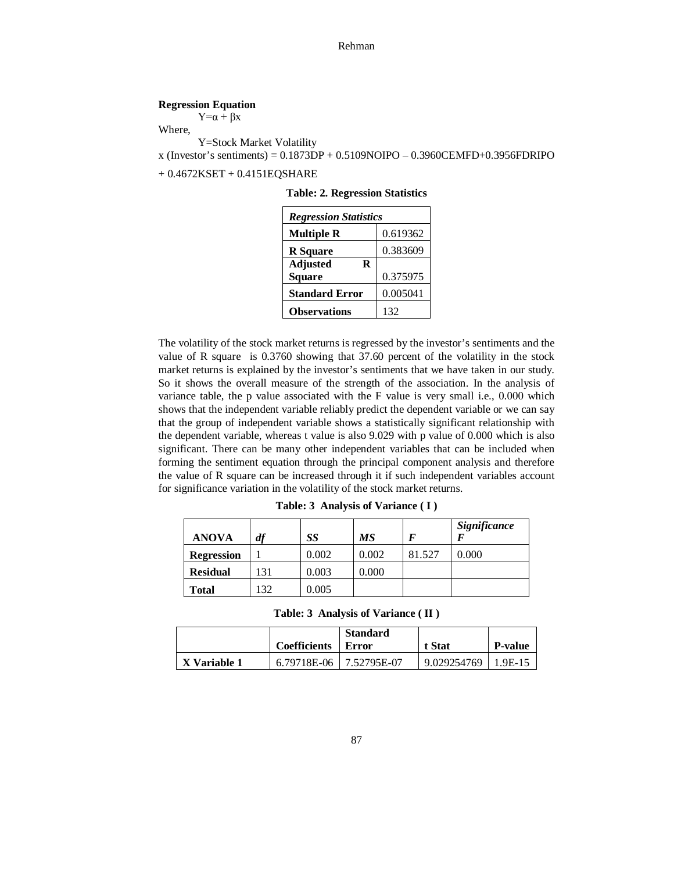## **Regression Equation**

 $Y=\alpha + \beta X$ 

Where,

Y=Stock Market Volatility  $x$  (Investor's sentiments) = 0.1873DP + 0.5109NOIPO – 0.3960CEMFD+0.3956FDRIPO

+ 0.4672KSET + 0.4151EQSHARE

**Table: 2. Regression Statistics**

| <b>Regression Statistics</b> |          |  |  |  |
|------------------------------|----------|--|--|--|
| <b>Multiple R</b>            | 0.619362 |  |  |  |
| <b>R</b> Square              | 0.383609 |  |  |  |
| <b>Adjusted</b><br>R         |          |  |  |  |
| <b>Square</b>                | 0.375975 |  |  |  |
| <b>Standard Error</b>        | 0.005041 |  |  |  |
| <b>Observations</b>          | 132      |  |  |  |

The volatility of the stock market returns is regressed by the investor's sentiments and the value of R square is 0.3760 showing that 37.60 percent of the volatility in the stock market returns is explained by the investor's sentiments that we have taken in our study. So it shows the overall measure of the strength of the association. In the analysis of variance table, the p value associated with the F value is very small i.e., 0.000 which shows that the independent variable reliably predict the dependent variable or we can say that the group of independent variable shows a statistically significant relationship with the dependent variable, whereas t value is also 9.029 with p value of 0.000 which is also significant. There can be many other independent variables that can be included when forming the sentiment equation through the principal component analysis and therefore the value of R square can be increased through it if such independent variables account for significance variation in the volatility of the stock market returns.

| <b>ANOVA</b>      | df | SS    | MS    |        | Significance |
|-------------------|----|-------|-------|--------|--------------|
| <b>Regression</b> |    | 0.002 | 0.002 | 81.527 | 0.000        |
| <b>Residual</b>   | 31 | 0.003 | 0.000 |        |              |
| Total             | 32 | 0.005 |       |        |              |

**Table: 3 Analysis of Variance ( I )**

**Table: 3 Analysis of Variance ( II )**

|              | Coefficients            | <b>Standard</b><br>Error | t Stat                  | <b>P-value</b> |
|--------------|-------------------------|--------------------------|-------------------------|----------------|
| X Variable 1 | 6.79718E-06 7.52795E-07 |                          | $9.029254769$   1.9E-15 |                |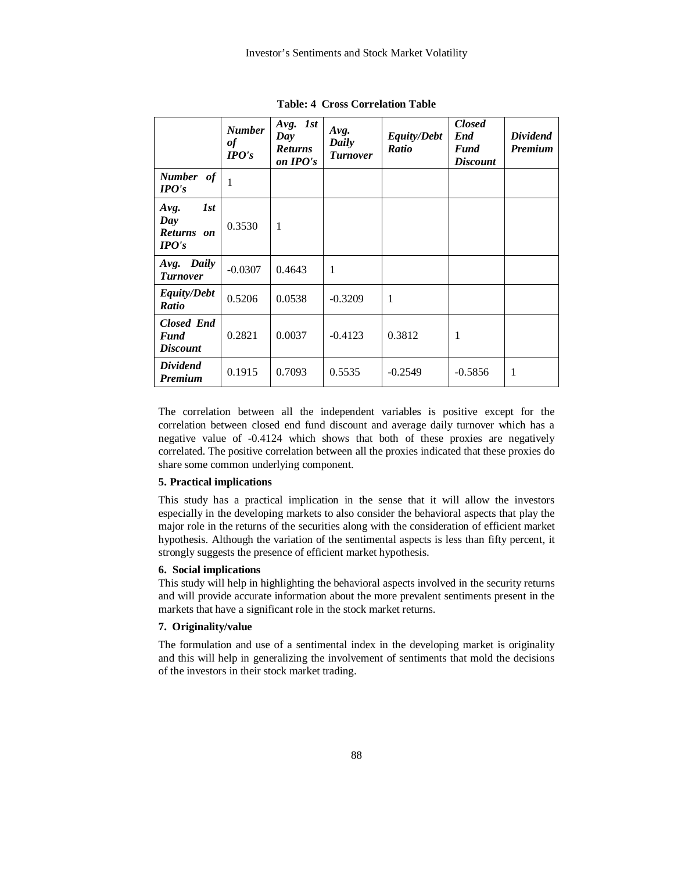|                                                     | <b>Number</b><br>of<br>$IPO's$ | Avg. 1st<br>Day<br><b>Returns</b><br>on IPO's | Avg.<br>Daily<br><b>Turnover</b> | <b>Equity/Debt</b><br>Ratio | <b>Closed</b><br>End<br><b>Fund</b><br><b>Discount</b> | <b>Dividend</b><br><b>Premium</b> |
|-----------------------------------------------------|--------------------------------|-----------------------------------------------|----------------------------------|-----------------------------|--------------------------------------------------------|-----------------------------------|
| <b>Number</b><br>of<br>IPO's                        | 1                              |                                               |                                  |                             |                                                        |                                   |
| 1st<br>Avg.<br>Day<br><b>Returns</b><br>on<br>IPO's | 0.3530                         | 1                                             |                                  |                             |                                                        |                                   |
| Avg. Daily<br><b>Turnover</b>                       | $-0.0307$                      | 0.4643                                        | 1                                |                             |                                                        |                                   |
| <b>Equity/Debt</b><br><b>Ratio</b>                  | 0.5206                         | 0.0538                                        | $-0.3209$                        | $\mathbf{1}$                |                                                        |                                   |
| <b>Closed End</b><br><b>Fund</b><br><b>Discount</b> | 0.2821                         | 0.0037                                        | $-0.4123$                        | 0.3812                      | 1                                                      |                                   |
| <b>Dividend</b><br><b>Premium</b>                   | 0.1915                         | 0.7093                                        | 0.5535                           | $-0.2549$                   | $-0.5856$                                              | 1                                 |

**Table: 4 Cross Correlation Table**

The correlation between all the independent variables is positive except for the correlation between closed end fund discount and average daily turnover which has a negative value of -0.4124 which shows that both of these proxies are negatively correlated. The positive correlation between all the proxies indicated that these proxies do share some common underlying component.

## **5. Practical implications**

This study has a practical implication in the sense that it will allow the investors especially in the developing markets to also consider the behavioral aspects that play the major role in the returns of the securities along with the consideration of efficient market hypothesis. Although the variation of the sentimental aspects is less than fifty percent, it strongly suggests the presence of efficient market hypothesis.

# **6. Social implications**

This study will help in highlighting the behavioral aspects involved in the security returns and will provide accurate information about the more prevalent sentiments present in the markets that have a significant role in the stock market returns.

# **7. Originality/value**

The formulation and use of a sentimental index in the developing market is originality and this will help in generalizing the involvement of sentiments that mold the decisions of the investors in their stock market trading.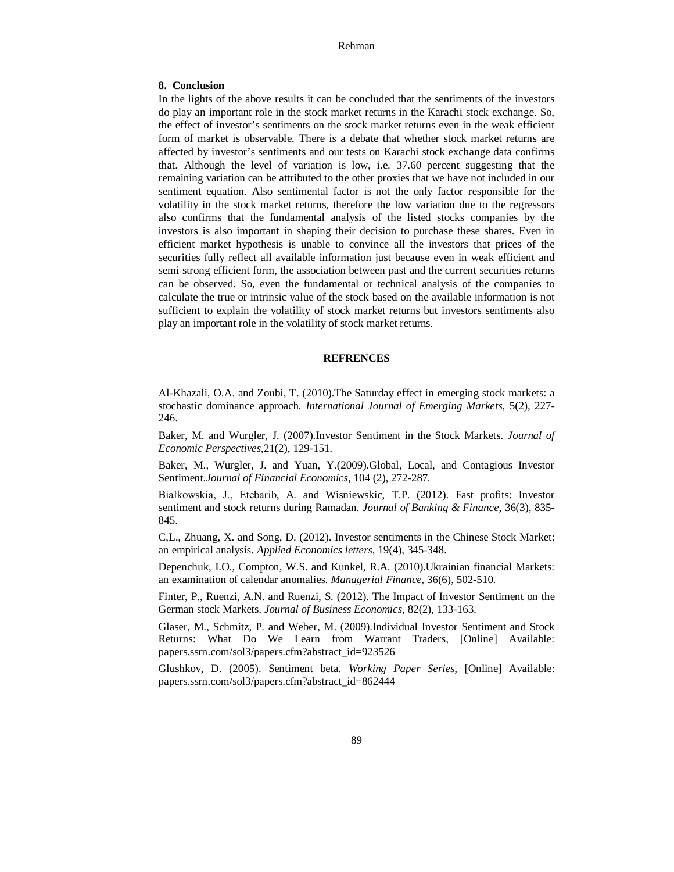## **8. Conclusion**

In the lights of the above results it can be concluded that the sentiments of the investors do play an important role in the stock market returns in the Karachi stock exchange. So, the effect of investor's sentiments on the stock market returns even in the weak efficient form of market is observable. There is a debate that whether stock market returns are affected by investor's sentiments and our tests on Karachi stock exchange data confirms that. Although the level of variation is low, i.e. 37.60 percent suggesting that the remaining variation can be attributed to the other proxies that we have not included in our sentiment equation. Also sentimental factor is not the only factor responsible for the volatility in the stock market returns, therefore the low variation due to the regressors also confirms that the fundamental analysis of the listed stocks companies by the investors is also important in shaping their decision to purchase these shares. Even in efficient market hypothesis is unable to convince all the investors that prices of the securities fully reflect all available information just because even in weak efficient and semi strong efficient form, the association between past and the current securities returns can be observed. So, even the fundamental or technical analysis of the companies to calculate the true or intrinsic value of the stock based on the available information is not sufficient to explain the volatility of stock market returns but investors sentiments also play an important role in the volatility of stock market returns.

## **REFRENCES**

Al-Khazali, O.A. and Zoubi, T. (2010).The Saturday effect in emerging stock markets: a stochastic dominance approach*. International Journal of Emerging Markets*, 5(2), 227- 246.

Baker, M. and Wurgler, J. (2007).Investor Sentiment in the Stock Markets. *Journal of Economic Perspectives*,21(2), 129-151.

Baker, M., Wurgler, J. and Yuan, Y.(2009).Global, Local, and Contagious Investor Sentiment.*Journal of Financial Economics*, 104 (2), 272-287.

Białkowskia, J., Etebarib, A. and Wisniewskic, T.P. (2012). Fast profits: Investor sentiment and stock returns during Ramadan*. Journal of Banking & Finance*, 36(3), 835- 845.

C,L., Zhuang, X. and Song, D. (2012). Investor sentiments in the Chinese Stock Market: an empirical analysis. *Applied Economics letters*, 19(4), 345-348.

Depenchuk, I.O., Compton, W.S. and Kunkel, R.A. (2010).Ukrainian financial Markets: an examination of calendar anomalies*. Managerial Finance*, 36(6), 502-510.

Finter, P., Ruenzi, A.N. and Ruenzi, S. (2012). The Impact of Investor Sentiment on the German stock Markets. *Journal of Business Economics*, 82(2), 133-163.

Glaser, M., Schmitz, P. and Weber, M. (2009).Individual Investor Sentiment and Stock Returns: What Do We Learn from Warrant Traders, [Online] Available: papers.ssrn.com/sol3/papers.cfm?abstract\_id=923526

Glushkov, D. (2005). Sentiment beta*. Working Paper Series*, [Online] Available: papers.ssrn.com/sol3/papers.cfm?abstract\_id=862444